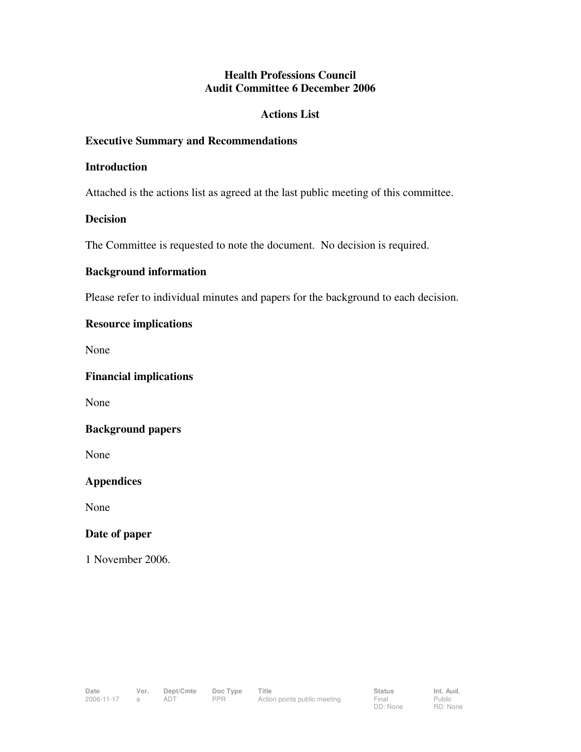# **Health Professions Council Audit Committee 6 December 2006**

## **Actions List**

## **Executive Summary and Recommendations**

### **Introduction**

Attached is the actions list as agreed at the last public meeting of this committee.

## **Decision**

The Committee is requested to note the document. No decision is required.

## **Background information**

Please refer to individual minutes and papers for the background to each decision.

# **Resource implications**

None

**Financial implications** 

None

#### **Background papers**

None

**Appendices** 

None

#### **Date of paper**

1 November 2006.

Public RD: None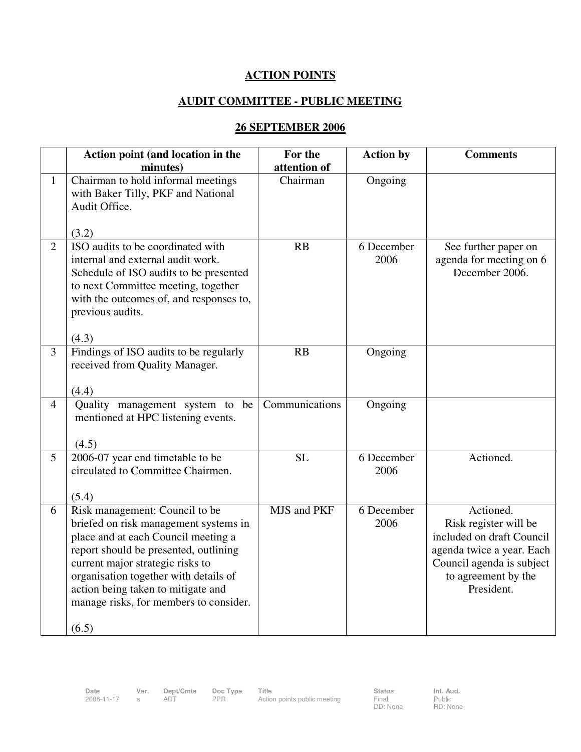# **ACTION POINTS**

# **AUDIT COMMITTEE - PUBLIC MEETING**

# **26 SEPTEMBER 2006**

|                | Action point (and location in the<br>minutes)                                                                                                                                                                                                                                                                                 | For the<br>attention of | <b>Action by</b>   | <b>Comments</b>                                                                                                                                                |
|----------------|-------------------------------------------------------------------------------------------------------------------------------------------------------------------------------------------------------------------------------------------------------------------------------------------------------------------------------|-------------------------|--------------------|----------------------------------------------------------------------------------------------------------------------------------------------------------------|
| $\mathbf{1}$   | Chairman to hold informal meetings<br>with Baker Tilly, PKF and National<br>Audit Office.<br>(3.2)                                                                                                                                                                                                                            | Chairman                | Ongoing            |                                                                                                                                                                |
| $\overline{2}$ | ISO audits to be coordinated with<br>internal and external audit work.<br>Schedule of ISO audits to be presented<br>to next Committee meeting, together<br>with the outcomes of, and responses to,<br>previous audits.<br>(4.3)                                                                                               | RB                      | 6 December<br>2006 | See further paper on<br>agenda for meeting on 6<br>December 2006.                                                                                              |
| $\overline{3}$ | Findings of ISO audits to be regularly<br>received from Quality Manager.<br>(4.4)                                                                                                                                                                                                                                             | RB                      | Ongoing            |                                                                                                                                                                |
| $\overline{4}$ | Quality management system to be<br>mentioned at HPC listening events.<br>(4.5)                                                                                                                                                                                                                                                | Communications          | Ongoing            |                                                                                                                                                                |
| $\overline{5}$ | 2006-07 year end timetable to be<br>circulated to Committee Chairmen.<br>(5.4)                                                                                                                                                                                                                                                | <b>SL</b>               | 6 December<br>2006 | Actioned.                                                                                                                                                      |
| 6              | Risk management: Council to be<br>briefed on risk management systems in<br>place and at each Council meeting a<br>report should be presented, outlining<br>current major strategic risks to<br>organisation together with details of<br>action being taken to mitigate and<br>manage risks, for members to consider.<br>(6.5) | MJS and PKF             | 6 December<br>2006 | Actioned.<br>Risk register will be<br>included on draft Council<br>agenda twice a year. Each<br>Council agenda is subject<br>to agreement by the<br>President. |

DD: None

Public RD: None